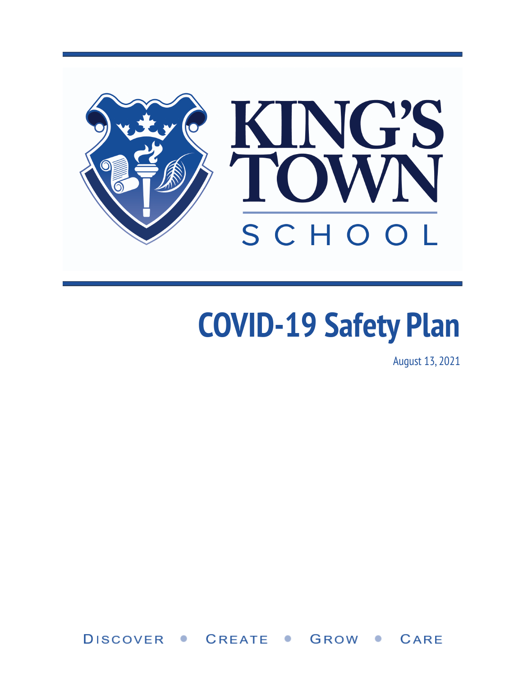

# **COVID-19 Safety Plan**

August 13, 2021

DISCOVER . **CREATE** CARE GROW  $\bullet$  $\bullet$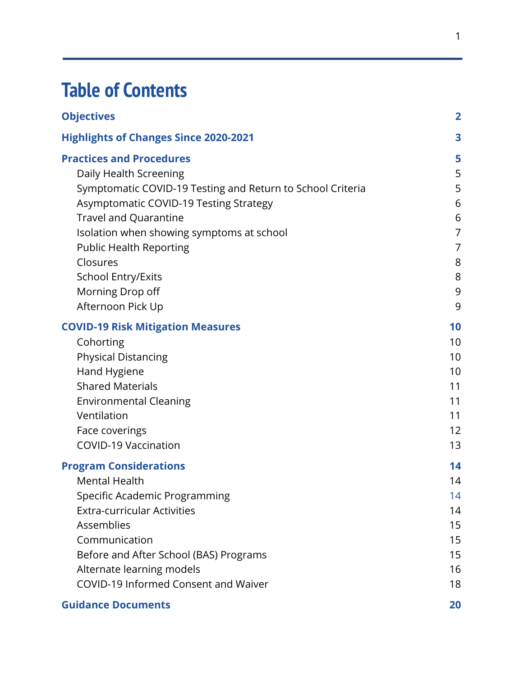### **Table of Contents**

| <b>Objectives</b>                                          | $\overline{2}$ |
|------------------------------------------------------------|----------------|
| <b>Highlights of Changes Since 2020-2021</b>               | 3              |
| <b>Practices and Procedures</b>                            | 5              |
| Daily Health Screening                                     | 5              |
| Symptomatic COVID-19 Testing and Return to School Criteria | 5              |
| Asymptomatic COVID-19 Testing Strategy                     | 6              |
| <b>Travel and Quarantine</b>                               | 6              |
| Isolation when showing symptoms at school                  | $\overline{7}$ |
| <b>Public Health Reporting</b>                             | 7              |
| Closures                                                   | 8              |
| <b>School Entry/Exits</b>                                  | 8              |
| Morning Drop off                                           | 9              |
| Afternoon Pick Up                                          | 9              |
| <b>COVID-19 Risk Mitigation Measures</b>                   | 10             |
| Cohorting                                                  | 10             |
| <b>Physical Distancing</b>                                 | 10             |
| Hand Hygiene                                               | 10             |
| <b>Shared Materials</b>                                    | 11             |
| <b>Environmental Cleaning</b>                              | 11             |
| Ventilation                                                | 11             |
| Face coverings                                             | 12             |
| <b>COVID-19 Vaccination</b>                                | 13             |
| <b>Program Considerations</b>                              | 14             |
| <b>Mental Health</b>                                       | 14             |
| Specific Academic Programming                              | 14             |
| <b>Extra-curricular Activities</b>                         | 14             |
| Assemblies                                                 | 15             |
| Communication                                              | 15             |
| Before and After School (BAS) Programs                     | 15             |
| Alternate learning models                                  | 16             |
| COVID-19 Informed Consent and Waiver                       | 18             |
| <b>Guidance Documents</b>                                  | 20             |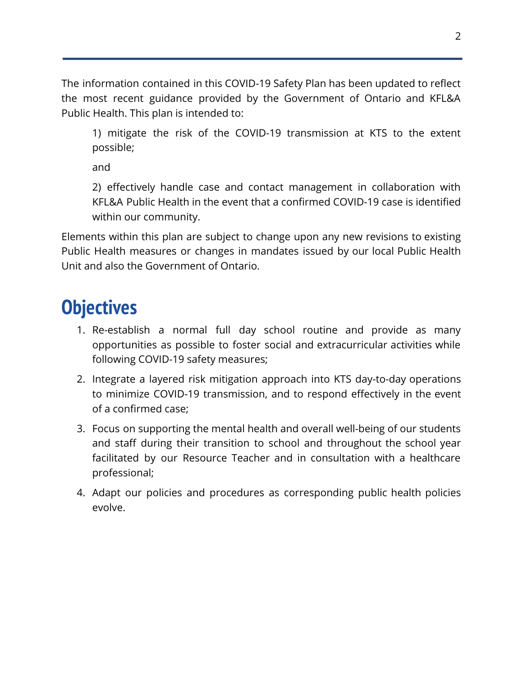The information contained in this COVID-19 Safety Plan has been updated to reflect the most recent guidance provided by the Government of Ontario and KFL&A Public Health. This plan is intended to:

1) mitigate the risk of the COVID-19 transmission at KTS to the extent possible;

and

2) effectively handle case and contact management in collaboration with KFL&A Public Health in the event that a confirmed COVID-19 case is identified within our community.

Elements within this plan are subject to change upon any new revisions to existing Public Health measures or changes in mandates issued by our local Public Health Unit and also the Government of Ontario.

### <span id="page-2-0"></span>**Objectives**

- 1. Re-establish a normal full day school routine and provide as many opportunities as possible to foster social and extracurricular activities while following COVID-19 safety measures;
- 2. Integrate a layered risk mitigation approach into KTS day-to-day operations to minimize COVID-19 transmission, and to respond effectively in the event of a confirmed case;
- 3. Focus on supporting the mental health and overall well-being of our students and staff during their transition to school and throughout the school year facilitated by our Resource Teacher and in consultation with a healthcare professional;
- 4. Adapt our policies and procedures as corresponding public health policies evolve.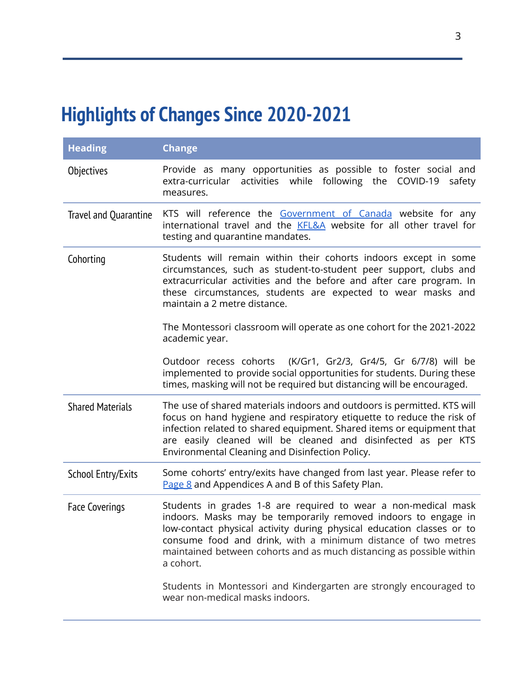### <span id="page-3-0"></span>**Highlights of Changes Since 2020-2021**

| <b>Heading</b>            | <b>Change</b>                                                                                                                                                                                                                                                                                                                                                   |
|---------------------------|-----------------------------------------------------------------------------------------------------------------------------------------------------------------------------------------------------------------------------------------------------------------------------------------------------------------------------------------------------------------|
| Objectives                | Provide as many opportunities as possible to foster social and<br>extra-curricular activities while following the COVID-19 safety<br>measures.                                                                                                                                                                                                                  |
| Travel and Quarantine     | KTS will reference the Government of Canada website for any<br>international travel and the KFL&A website for all other travel for<br>testing and quarantine mandates.                                                                                                                                                                                          |
| Cohorting                 | Students will remain within their cohorts indoors except in some<br>circumstances, such as student-to-student peer support, clubs and<br>extracurricular activities and the before and after care program. In<br>these circumstances, students are expected to wear masks and<br>maintain a 2 metre distance.                                                   |
|                           | The Montessori classroom will operate as one cohort for the 2021-2022<br>academic year.                                                                                                                                                                                                                                                                         |
|                           | Outdoor recess cohorts<br>(K/Gr1, Gr2/3, Gr4/5, Gr 6/7/8) will be<br>implemented to provide social opportunities for students. During these<br>times, masking will not be required but distancing will be encouraged.                                                                                                                                           |
| <b>Shared Materials</b>   | The use of shared materials indoors and outdoors is permitted. KTS will<br>focus on hand hygiene and respiratory etiquette to reduce the risk of<br>infection related to shared equipment. Shared items or equipment that<br>are easily cleaned will be cleaned and disinfected as per KTS<br>Environmental Cleaning and Disinfection Policy.                   |
| <b>School Entry/Exits</b> | Some cohorts' entry/exits have changed from last year. Please refer to<br>Page 8 and Appendices A and B of this Safety Plan.                                                                                                                                                                                                                                    |
| <b>Face Coverings</b>     | Students in grades 1-8 are required to wear a non-medical mask<br>indoors. Masks may be temporarily removed indoors to engage in<br>low-contact physical activity during physical education classes or to<br>consume food and drink, with a minimum distance of two metres<br>maintained between cohorts and as much distancing as possible within<br>a cohort. |
|                           | Students in Montessori and Kindergarten are strongly encouraged to<br>wear non-medical masks indoors.                                                                                                                                                                                                                                                           |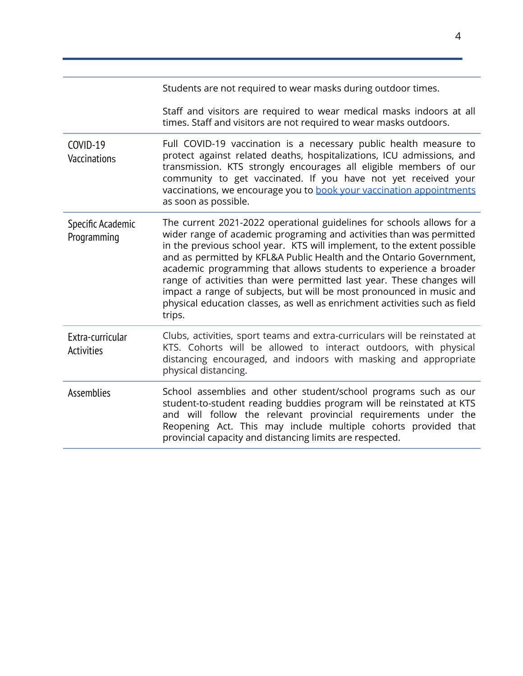|                                       | Students are not required to wear masks during outdoor times.                                                                                                                                                                                                                                                                                                                                                                                                                                                                                                                                                 |
|---------------------------------------|---------------------------------------------------------------------------------------------------------------------------------------------------------------------------------------------------------------------------------------------------------------------------------------------------------------------------------------------------------------------------------------------------------------------------------------------------------------------------------------------------------------------------------------------------------------------------------------------------------------|
|                                       | Staff and visitors are required to wear medical masks indoors at all<br>times. Staff and visitors are not required to wear masks outdoors.                                                                                                                                                                                                                                                                                                                                                                                                                                                                    |
| COVID-19<br>Vaccinations              | Full COVID-19 vaccination is a necessary public health measure to<br>protect against related deaths, hospitalizations, ICU admissions, and<br>transmission. KTS strongly encourages all eligible members of our<br>community to get vaccinated. If you have not yet received your<br>vaccinations, we encourage you to book your vaccination appointments<br>as soon as possible.                                                                                                                                                                                                                             |
| Specific Academic<br>Programming      | The current 2021-2022 operational guidelines for schools allows for a<br>wider range of academic programing and activities than was permitted<br>in the previous school year. KTS will implement, to the extent possible<br>and as permitted by KFL&A Public Health and the Ontario Government,<br>academic programming that allows students to experience a broader<br>range of activities than were permitted last year. These changes will<br>impact a range of subjects, but will be most pronounced in music and<br>physical education classes, as well as enrichment activities such as field<br>trips. |
| Extra-curricular<br><b>Activities</b> | Clubs, activities, sport teams and extra-curriculars will be reinstated at<br>KTS. Cohorts will be allowed to interact outdoors, with physical<br>distancing encouraged, and indoors with masking and appropriate<br>physical distancing.                                                                                                                                                                                                                                                                                                                                                                     |
| <b>Assemblies</b>                     | School assemblies and other student/school programs such as our<br>student-to-student reading buddies program will be reinstated at KTS<br>and will follow the relevant provincial requirements under the<br>Reopening Act. This may include multiple cohorts provided that<br>provincial capacity and distancing limits are respected.                                                                                                                                                                                                                                                                       |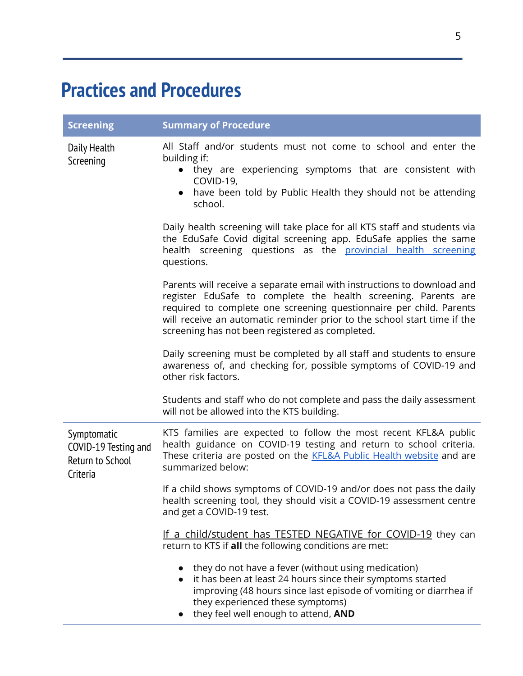### <span id="page-5-0"></span>**Practices and Procedures**

<span id="page-5-2"></span><span id="page-5-1"></span>

| <b>Screening</b>                                                    | <b>Summary of Procedure</b>                                                                                                                                                                                                                                                                                                                     |
|---------------------------------------------------------------------|-------------------------------------------------------------------------------------------------------------------------------------------------------------------------------------------------------------------------------------------------------------------------------------------------------------------------------------------------|
| Daily Health<br>Screening                                           | All Staff and/or students must not come to school and enter the<br>building if:<br>they are experiencing symptoms that are consistent with<br>COVID-19,<br>have been told by Public Health they should not be attending<br>$\bullet$<br>school.                                                                                                 |
|                                                                     | Daily health screening will take place for all KTS staff and students via<br>the EduSafe Covid digital screening app. EduSafe applies the same<br>health screening questions as the provincial health screening<br>questions.                                                                                                                   |
|                                                                     | Parents will receive a separate email with instructions to download and<br>register EduSafe to complete the health screening. Parents are<br>required to complete one screening questionnaire per child. Parents<br>will receive an automatic reminder prior to the school start time if the<br>screening has not been registered as completed. |
|                                                                     | Daily screening must be completed by all staff and students to ensure<br>awareness of, and checking for, possible symptoms of COVID-19 and<br>other risk factors.                                                                                                                                                                               |
|                                                                     | Students and staff who do not complete and pass the daily assessment<br>will not be allowed into the KTS building.                                                                                                                                                                                                                              |
| Symptomatic<br>COVID-19 Testing and<br>Return to School<br>Criteria | KTS families are expected to follow the most recent KFL&A public<br>health guidance on COVID-19 testing and return to school criteria.<br>These criteria are posted on the <b>KFL&amp;A Public Health website</b> and are<br>summarized below:                                                                                                  |
|                                                                     | If a child shows symptoms of COVID-19 and/or does not pass the daily<br>health screening tool, they should visit a COVID-19 assessment centre<br>and get a COVID-19 test.                                                                                                                                                                       |
|                                                                     | If a child/student has TESTED NEGATIVE for COVID-19 they can<br>return to KTS if all the following conditions are met:                                                                                                                                                                                                                          |
|                                                                     | they do not have a fever (without using medication)<br>• it has been at least 24 hours since their symptoms started<br>improving (48 hours since last episode of vomiting or diarrhea if<br>they experienced these symptoms)<br>they feel well enough to attend, AND                                                                            |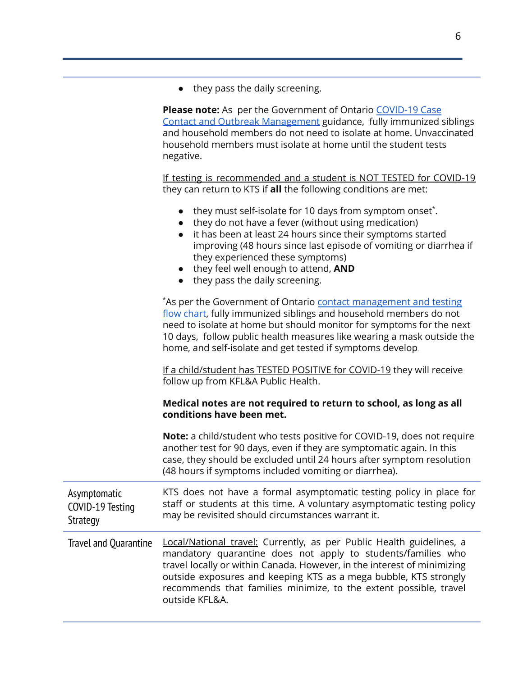● they pass the daily screening.

**Please note:** As per the Government of Ontario [COVID-19](https://s3.documentcloud.org/documents/21040125/ontario-releases-new-guidance-on-covid-19-cases-contacts-and-outbreaks-including-in-schools.pdf) Case Contact and Outbreak [Management](https://s3.documentcloud.org/documents/21040125/ontario-releases-new-guidance-on-covid-19-cases-contacts-and-outbreaks-including-in-schools.pdf) guidance, fully immunized siblings and household members do not need to isolate at home. Unvaccinated household members must isolate at home until the student tests negative.

If testing is recommended and a student is NOT TESTED for COVID-19 they can return to KTS if **all** the following conditions are met:

| • they must self-isolate for 10 days from symptom onset. |
|----------------------------------------------------------|
| • they do not have a fever (without using medication)    |

- it has been at least 24 hours since their symptoms started improving (48 hours since last episode of vomiting or diarrhea if they experienced these symptoms)
- they feel well enough to attend, **AND**
- they pass the daily screening.

\*As per the Government of Ontario contact [management](https://health.gov.on.ca/en/pro/programs/publichealth/coronavirus/docs/contact_mngmt/app_11_high_risk_contact_FlowChart.pdf) and testing flow [chart,](https://health.gov.on.ca/en/pro/programs/publichealth/coronavirus/docs/contact_mngmt/app_11_high_risk_contact_FlowChart.pdf) fully immunized siblings and household members do not need to isolate at home but should monitor for symptoms for the next 10 days, follow public health measures like wearing a mask outside the home, and self-isolate and get tested if symptoms develop. If a child/student has TESTED POSITIVE for COVID-19 they will receive follow up from KFL&A Public Health. **Medical notes are not required to return to school, as long as all conditions have been met.**

> **Note:** a child/student who tests positive for COVID-19, does not require another test for 90 days, even if they are symptomatic again. In this case, they should be excluded until 24 hours after symptom resolution (48 hours if symptoms included vomiting or diarrhea).

> KTS does not have a formal asymptomatic testing policy in place for staff or students at this time. A voluntary asymptomatic testing policy

Asymptomatic COVID-19 Testing Strategy

<span id="page-6-1"></span><span id="page-6-0"></span>Travel and Quarantine Local/National travel: Currently, as per Public Health guidelines, a mandatory quarantine does not apply to students/families who travel locally or within Canada. However, in the interest of minimizing outside exposures and keeping KTS as a mega bubble, KTS strongly recommends that families minimize, to the extent possible, travel outside KFL&A.

may be revisited should circumstances warrant it.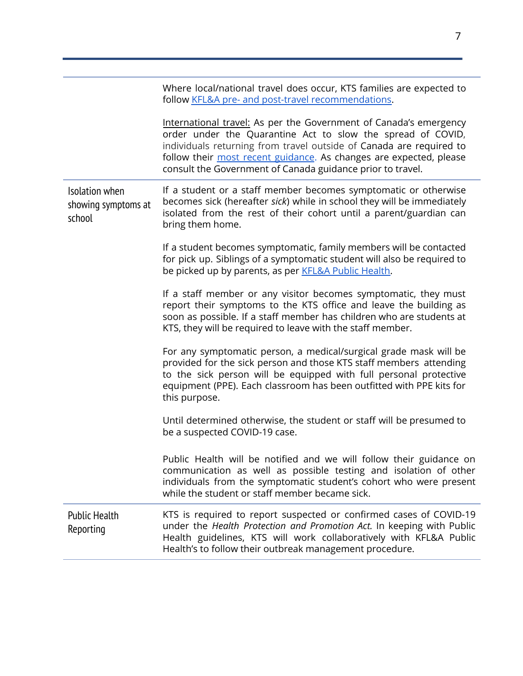<span id="page-7-1"></span><span id="page-7-0"></span>

|                                                 | Where local/national travel does occur, KTS families are expected to<br>follow KFL&A pre- and post-travel recommendations.                                                                                                                                                                                                                  |
|-------------------------------------------------|---------------------------------------------------------------------------------------------------------------------------------------------------------------------------------------------------------------------------------------------------------------------------------------------------------------------------------------------|
|                                                 | International travel: As per the Government of Canada's emergency<br>order under the Quarantine Act to slow the spread of COVID,<br>individuals returning from travel outside of Canada are required to<br>follow their most recent guidance. As changes are expected, please<br>consult the Government of Canada guidance prior to travel. |
| Isolation when<br>showing symptoms at<br>school | If a student or a staff member becomes symptomatic or otherwise<br>becomes sick (hereafter sick) while in school they will be immediately<br>isolated from the rest of their cohort until a parent/guardian can<br>bring them home.                                                                                                         |
|                                                 | If a student becomes symptomatic, family members will be contacted<br>for pick up. Siblings of a symptomatic student will also be required to<br>be picked up by parents, as per <b>KFL&amp;A Public Health</b> .                                                                                                                           |
|                                                 | If a staff member or any visitor becomes symptomatic, they must<br>report their symptoms to the KTS office and leave the building as<br>soon as possible. If a staff member has children who are students at<br>KTS, they will be required to leave with the staff member.                                                                  |
|                                                 | For any symptomatic person, a medical/surgical grade mask will be<br>provided for the sick person and those KTS staff members attending<br>to the sick person will be equipped with full personal protective<br>equipment (PPE). Each classroom has been outfitted with PPE kits for<br>this purpose.                                       |
|                                                 | Until determined otherwise, the student or staff will be presumed to<br>be a suspected COVID-19 case.                                                                                                                                                                                                                                       |
|                                                 | Public Health will be notified and we will follow their guidance on<br>communication as well as possible testing and isolation of other<br>individuals from the symptomatic student's cohort who were present<br>while the student or staff member became sick.                                                                             |
| <b>Public Health</b><br>Reporting               | KTS is required to report suspected or confirmed cases of COVID-19<br>under the Health Protection and Promotion Act. In keeping with Public<br>Health guidelines, KTS will work collaboratively with KFL&A Public<br>Health's to follow their outbreak management procedure.                                                                |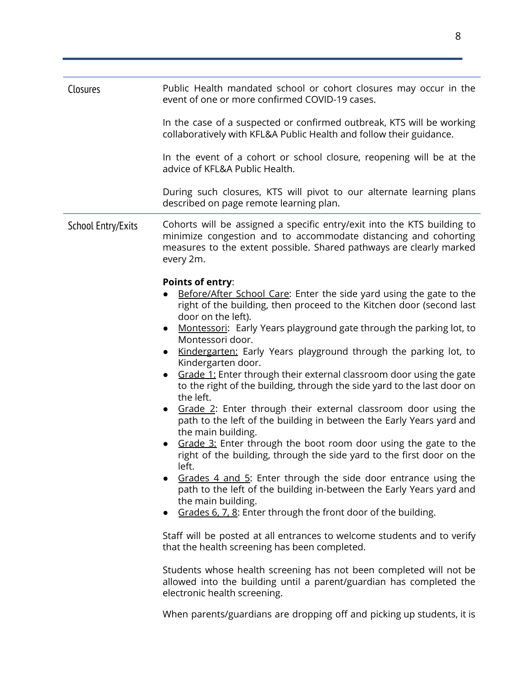<span id="page-8-1"></span><span id="page-8-0"></span>

| Closures                  | Public Health mandated school or cohort closures may occur in the<br>event of one or more confirmed COVID-19 cases.                                                                                                                                                                                                                                                                                                                                                                                                                                                                                                                                                                                                                                                                                                                                                                                                                                                                                                                                                                                                                                                                                                                                                                                                                                                                                                                                    |
|---------------------------|--------------------------------------------------------------------------------------------------------------------------------------------------------------------------------------------------------------------------------------------------------------------------------------------------------------------------------------------------------------------------------------------------------------------------------------------------------------------------------------------------------------------------------------------------------------------------------------------------------------------------------------------------------------------------------------------------------------------------------------------------------------------------------------------------------------------------------------------------------------------------------------------------------------------------------------------------------------------------------------------------------------------------------------------------------------------------------------------------------------------------------------------------------------------------------------------------------------------------------------------------------------------------------------------------------------------------------------------------------------------------------------------------------------------------------------------------------|
|                           | In the case of a suspected or confirmed outbreak, KTS will be working<br>collaboratively with KFL&A Public Health and follow their guidance.                                                                                                                                                                                                                                                                                                                                                                                                                                                                                                                                                                                                                                                                                                                                                                                                                                                                                                                                                                                                                                                                                                                                                                                                                                                                                                           |
|                           | In the event of a cohort or school closure, reopening will be at the<br>advice of KFL&A Public Health.                                                                                                                                                                                                                                                                                                                                                                                                                                                                                                                                                                                                                                                                                                                                                                                                                                                                                                                                                                                                                                                                                                                                                                                                                                                                                                                                                 |
|                           | During such closures, KTS will pivot to our alternate learning plans<br>described on page remote learning plan.                                                                                                                                                                                                                                                                                                                                                                                                                                                                                                                                                                                                                                                                                                                                                                                                                                                                                                                                                                                                                                                                                                                                                                                                                                                                                                                                        |
| <b>School Entry/Exits</b> | Cohorts will be assigned a specific entry/exit into the KTS building to<br>minimize congestion and to accommodate distancing and cohorting<br>measures to the extent possible. Shared pathways are clearly marked<br>every 2m.                                                                                                                                                                                                                                                                                                                                                                                                                                                                                                                                                                                                                                                                                                                                                                                                                                                                                                                                                                                                                                                                                                                                                                                                                         |
|                           | <b>Points of entry:</b><br>Before/After School Care: Enter the side yard using the gate to the<br>right of the building, then proceed to the Kitchen door (second last<br>door on the left).<br>Montessori: Early Years playground gate through the parking lot, to<br>$\bullet$<br>Montessori door.<br>Kindergarten: Early Years playground through the parking lot, to<br>$\bullet$<br>Kindergarten door.<br>Grade 1: Enter through their external classroom door using the gate<br>to the right of the building, through the side yard to the last door on<br>the left.<br>Grade 2: Enter through their external classroom door using the<br>$\bullet$<br>path to the left of the building in between the Early Years yard and<br>the main building.<br>Grade 3: Enter through the boot room door using the gate to the<br>right of the building, through the side yard to the first door on the<br>left.<br>Grades 4 and 5: Enter through the side door entrance using the<br>path to the left of the building in-between the Early Years yard and<br>the main building.<br>Grades 6, 7, 8: Enter through the front door of the building.<br>Staff will be posted at all entrances to welcome students and to verify<br>that the health screening has been completed.<br>Students whose health screening has not been completed will not be<br>allowed into the building until a parent/guardian has completed the<br>electronic health screening. |

When parents/guardians are dropping off and picking up students, it is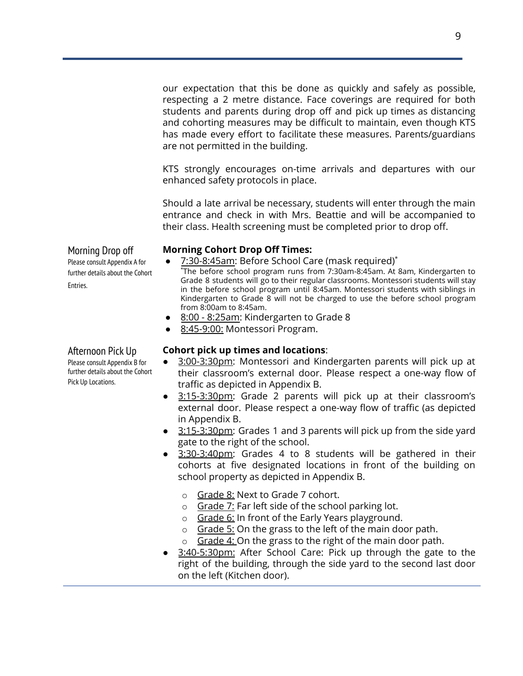our expectation that this be done as quickly and safely as possible, respecting a 2 metre distance. Face coverings are required for both students and parents during drop off and pick up times as distancing and cohorting measures may be difficult to maintain, even though KTS has made every effort to facilitate these measures. Parents/guardians are not permitted in the building.

KTS strongly encourages on-time arrivals and departures with our enhanced safety protocols in place.

Should a late arrival be necessary, students will enter through the main entrance and check in with Mrs. Beattie and will be accompanied to their class. Health screening must be completed prior to drop off.

#### **Morning Cohort Drop Off Times:**

- 7:30-8:45am: Before School Care (mask required)\*
	- \*The before school program runs from 7:30am-8:45am. At 8am, Kindergarten to Grade 8 students will go to their regular classrooms. Montessori students will stay in the before school program until 8:45am. Montessori students with siblings in Kindergarten to Grade 8 will not be charged to use the before school program from 8:00am to 8:45am.
- 8:00 8:25am: Kindergarten to Grade 8
- 8:45-9:00: Montessori Program.

#### **Cohort pick up times and locations**:

- 3:00-3:30pm: Montessori and Kindergarten parents will pick up at their classroom's external door. Please respect a one-way flow of traffic as depicted in Appendix B.
- 3:15-3:30pm: Grade 2 parents will pick up at their classroom's external door. Please respect a one-way flow of traffic (as depicted in Appendix B.
- 3:15-3:30pm: Grades 1 and 3 parents will pick up from the side yard gate to the right of the school.
- 3:30-3:40pm: Grades 4 to 8 students will be gathered in their cohorts at five designated locations in front of the building on school property as depicted in Appendix B.
	- o Grade 8: Next to Grade 7 cohort.
	- o Grade 7: Far left side of the school parking lot.
	- o Grade 6: In front of the Early Years playground.
	- o Grade 5: On the grass to the left of the main door path.
	- $\circ$  Grade 4: On the grass to the right of the main door path.
- 3:40-5:30pm: After School Care: Pick up through the gate to the right of the building, through the side yard to the second last door on the left (Kitchen door).

<span id="page-9-0"></span>Morning Drop off Please consult Appendix A for further details about the Cohort Entries.

### <span id="page-9-1"></span>Afternoon Pick Up

Please consult Appendix B for further details about the Cohort Pick Up Locations.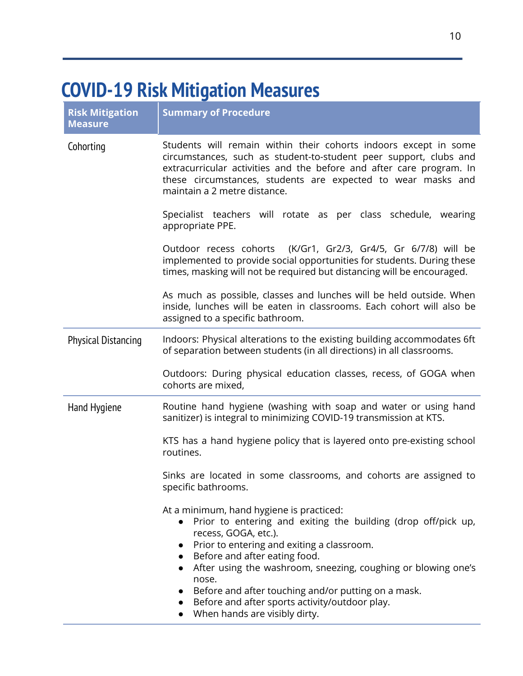### <span id="page-10-0"></span>**COVID-19 Risk Mitigation Measures**

<span id="page-10-2"></span><span id="page-10-1"></span>

| <b>Risk Mitigation</b><br><b>Measure</b> | <b>Summary of Procedure</b>                                                                                                                                                                                                                                                                                                                                                                                                                                                                |
|------------------------------------------|--------------------------------------------------------------------------------------------------------------------------------------------------------------------------------------------------------------------------------------------------------------------------------------------------------------------------------------------------------------------------------------------------------------------------------------------------------------------------------------------|
| Cohorting                                | Students will remain within their cohorts indoors except in some<br>circumstances, such as student-to-student peer support, clubs and<br>extracurricular activities and the before and after care program. In<br>these circumstances, students are expected to wear masks and<br>maintain a 2 metre distance.                                                                                                                                                                              |
|                                          | Specialist teachers will rotate as per class schedule, wearing<br>appropriate PPE.                                                                                                                                                                                                                                                                                                                                                                                                         |
|                                          | Outdoor recess cohorts (K/Gr1, Gr2/3, Gr4/5, Gr 6/7/8) will be<br>implemented to provide social opportunities for students. During these<br>times, masking will not be required but distancing will be encouraged.                                                                                                                                                                                                                                                                         |
|                                          | As much as possible, classes and lunches will be held outside. When<br>inside, lunches will be eaten in classrooms. Each cohort will also be<br>assigned to a specific bathroom.                                                                                                                                                                                                                                                                                                           |
| <b>Physical Distancing</b>               | Indoors: Physical alterations to the existing building accommodates 6ft<br>of separation between students (in all directions) in all classrooms.                                                                                                                                                                                                                                                                                                                                           |
|                                          | Outdoors: During physical education classes, recess, of GOGA when<br>cohorts are mixed,                                                                                                                                                                                                                                                                                                                                                                                                    |
| Hand Hygiene                             | Routine hand hygiene (washing with soap and water or using hand<br>sanitizer) is integral to minimizing COVID-19 transmission at KTS.                                                                                                                                                                                                                                                                                                                                                      |
|                                          | KTS has a hand hygiene policy that is layered onto pre-existing school<br>routines.                                                                                                                                                                                                                                                                                                                                                                                                        |
|                                          | Sinks are located in some classrooms, and cohorts are assigned to<br>specific bathrooms.                                                                                                                                                                                                                                                                                                                                                                                                   |
|                                          | At a minimum, hand hygiene is practiced:<br>• Prior to entering and exiting the building (drop off/pick up,<br>recess, GOGA, etc.).<br>Prior to entering and exiting a classroom.<br>$\bullet$<br>Before and after eating food.<br>$\bullet$<br>After using the washroom, sneezing, coughing or blowing one's<br>$\bullet$<br>nose.<br>Before and after touching and/or putting on a mask.<br>$\bullet$<br>Before and after sports activity/outdoor play.<br>When hands are visibly dirty. |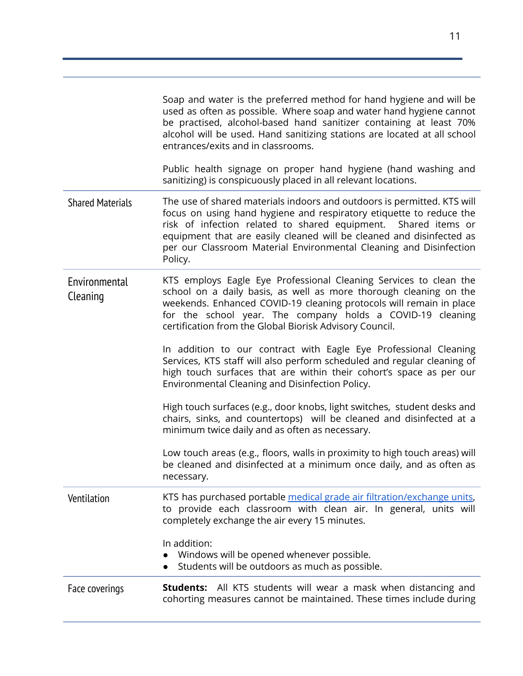<span id="page-11-2"></span><span id="page-11-1"></span><span id="page-11-0"></span>

|                           | Soap and water is the preferred method for hand hygiene and will be<br>used as often as possible. Where soap and water hand hygiene cannot<br>be practised, alcohol-based hand sanitizer containing at least 70%<br>alcohol will be used. Hand sanitizing stations are located at all school<br>entrances/exits and in classrooms.<br>Public health signage on proper hand hygiene (hand washing and |
|---------------------------|------------------------------------------------------------------------------------------------------------------------------------------------------------------------------------------------------------------------------------------------------------------------------------------------------------------------------------------------------------------------------------------------------|
|                           | sanitizing) is conspicuously placed in all relevant locations.                                                                                                                                                                                                                                                                                                                                       |
| <b>Shared Materials</b>   | The use of shared materials indoors and outdoors is permitted. KTS will<br>focus on using hand hygiene and respiratory etiquette to reduce the<br>risk of infection related to shared equipment. Shared items or<br>equipment that are easily cleaned will be cleaned and disinfected as<br>per our Classroom Material Environmental Cleaning and Disinfection<br>Policy.                            |
| Environmental<br>Cleaning | KTS employs Eagle Eye Professional Cleaning Services to clean the<br>school on a daily basis, as well as more thorough cleaning on the<br>weekends. Enhanced COVID-19 cleaning protocols will remain in place<br>for the school year. The company holds a COVID-19 cleaning<br>certification from the Global Biorisk Advisory Council.                                                               |
|                           | In addition to our contract with Eagle Eye Professional Cleaning<br>Services, KTS staff will also perform scheduled and regular cleaning of<br>high touch surfaces that are within their cohort's space as per our<br>Environmental Cleaning and Disinfection Policy.                                                                                                                                |
|                           | High touch surfaces (e.g., door knobs, light switches, student desks and<br>chairs, sinks, and countertops) will be cleaned and disinfected at a<br>minimum twice daily and as often as necessary.                                                                                                                                                                                                   |
|                           | Low touch areas (e.g., floors, walls in proximity to high touch areas) will<br>be cleaned and disinfected at a minimum once daily, and as often as<br>necessary.                                                                                                                                                                                                                                     |
| Ventilation               | KTS has purchased portable medical grade air filtration/exchange units,<br>to provide each classroom with clean air. In general, units will<br>completely exchange the air every 15 minutes.                                                                                                                                                                                                         |
|                           | In addition:<br>Windows will be opened whenever possible.<br>Students will be outdoors as much as possible.                                                                                                                                                                                                                                                                                          |
| Face coverings            | Students: All KTS students will wear a mask when distancing and<br>cohorting measures cannot be maintained. These times include during                                                                                                                                                                                                                                                               |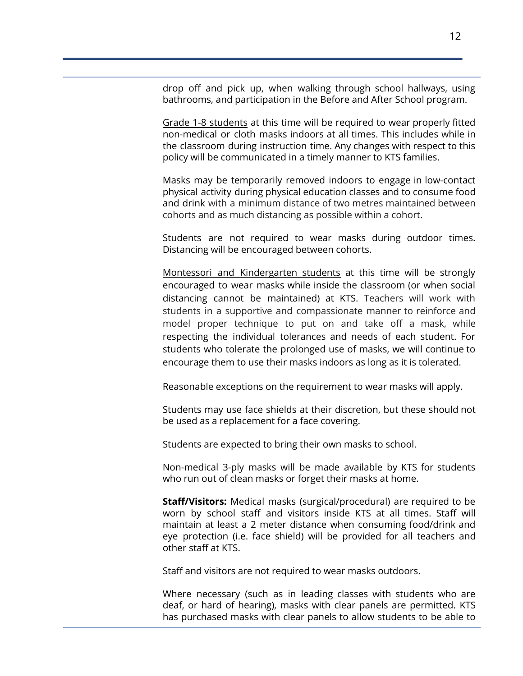drop off and pick up, when walking through school hallways, using bathrooms, and participation in the Before and After School program.

Grade 1-8 students at this time will be required to wear properly fitted non-medical or cloth masks indoors at all times. This includes while in the classroom during instruction time. Any changes with respect to this policy will be communicated in a timely manner to KTS families.

Masks may be temporarily removed indoors to engage in low-contact physical activity during physical education classes and to consume food and drink with a minimum distance of two metres maintained between cohorts and as much distancing as possible within a cohort.

Students are not required to wear masks during outdoor times. Distancing will be encouraged between cohorts.

Montessori and Kindergarten students at this time will be strongly encouraged to wear masks while inside the classroom (or when social distancing cannot be maintained) at KTS. Teachers will work with students in a supportive and compassionate manner to reinforce and model proper technique to put on and take off a mask, while respecting the individual tolerances and needs of each student. For students who tolerate the prolonged use of masks, we will continue to encourage them to use their masks indoors as long as it is tolerated.

Reasonable exceptions on the requirement to wear masks will apply.

Students may use face shields at their discretion, but these should not be used as a replacement for a face covering.

Students are expected to bring their own masks to school.

Non-medical 3-ply masks will be made available by KTS for students who run out of clean masks or forget their masks at home.

**Staff/Visitors:** Medical masks (surgical/procedural) are required to be worn by school staff and visitors inside KTS at all times. Staff will maintain at least a 2 meter distance when consuming food/drink and eye protection (i.e. face shield) will be provided for all teachers and other staff at KTS.

Staff and visitors are not required to wear masks outdoors.

Where necessary (such as in leading classes with students who are deaf, or hard of hearing), masks with clear panels are permitted. KTS has purchased masks with clear panels to allow students to be able to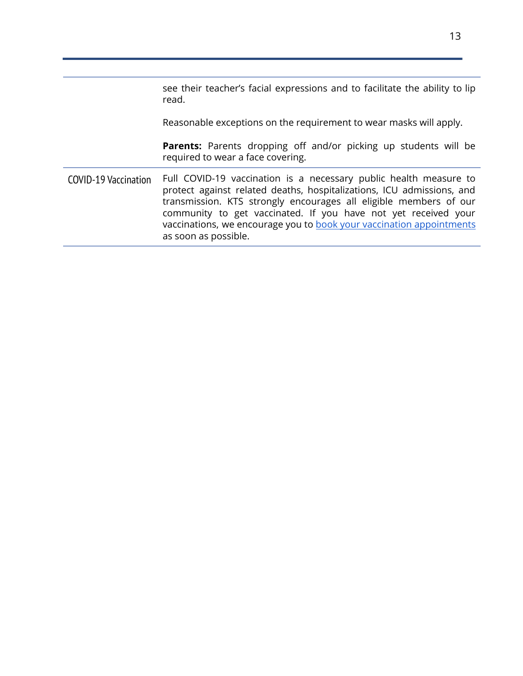<span id="page-13-0"></span>

|                             | see their teacher's facial expressions and to facilitate the ability to lip<br>read.                                                                                                                                                                                                                                                                                              |
|-----------------------------|-----------------------------------------------------------------------------------------------------------------------------------------------------------------------------------------------------------------------------------------------------------------------------------------------------------------------------------------------------------------------------------|
|                             | Reasonable exceptions on the requirement to wear masks will apply.                                                                                                                                                                                                                                                                                                                |
|                             | <b>Parents:</b> Parents dropping off and/or picking up students will be<br>required to wear a face covering.                                                                                                                                                                                                                                                                      |
| <b>COVID-19 Vaccination</b> | Full COVID-19 vaccination is a necessary public health measure to<br>protect against related deaths, hospitalizations, ICU admissions, and<br>transmission. KTS strongly encourages all eligible members of our<br>community to get vaccinated. If you have not yet received your<br>vaccinations, we encourage you to book your vaccination appointments<br>as soon as possible. |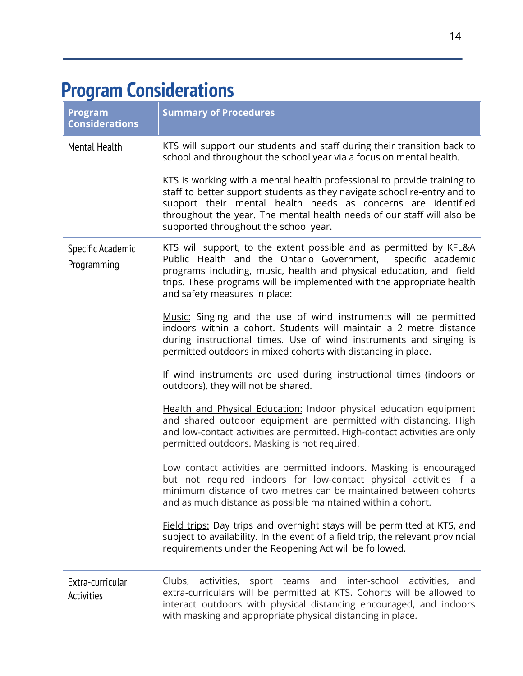### <span id="page-14-0"></span>**Program Considerations**

<span id="page-14-3"></span><span id="page-14-2"></span><span id="page-14-1"></span>

| <b>Program</b><br><b>Considerations</b> | <b>Summary of Procedures</b>                                                                                                                                                                                                                                                                                                           |
|-----------------------------------------|----------------------------------------------------------------------------------------------------------------------------------------------------------------------------------------------------------------------------------------------------------------------------------------------------------------------------------------|
| <b>Mental Health</b>                    | KTS will support our students and staff during their transition back to<br>school and throughout the school year via a focus on mental health.                                                                                                                                                                                         |
|                                         | KTS is working with a mental health professional to provide training to<br>staff to better support students as they navigate school re-entry and to<br>support their mental health needs as concerns are identified<br>throughout the year. The mental health needs of our staff will also be<br>supported throughout the school year. |
| Specific Academic<br>Programming        | KTS will support, to the extent possible and as permitted by KFL&A<br>Public Health and the Ontario Government, specific academic<br>programs including, music, health and physical education, and field<br>trips. These programs will be implemented with the appropriate health<br>and safety measures in place:                     |
|                                         | Music: Singing and the use of wind instruments will be permitted<br>indoors within a cohort. Students will maintain a 2 metre distance<br>during instructional times. Use of wind instruments and singing is<br>permitted outdoors in mixed cohorts with distancing in place.                                                          |
|                                         | If wind instruments are used during instructional times (indoors or<br>outdoors), they will not be shared.                                                                                                                                                                                                                             |
|                                         | Health and Physical Education: Indoor physical education equipment<br>and shared outdoor equipment are permitted with distancing. High<br>and low-contact activities are permitted. High-contact activities are only<br>permitted outdoors. Masking is not required.                                                                   |
|                                         | Low contact activities are permitted indoors. Masking is encouraged<br>but not required indoors for low-contact physical activities if a<br>minimum distance of two metres can be maintained between cohorts<br>and as much distance as possible maintained within a cohort.                                                           |
|                                         | Field trips: Day trips and overnight stays will be permitted at KTS, and<br>subject to availability. In the event of a field trip, the relevant provincial<br>requirements under the Reopening Act will be followed.                                                                                                                   |
| Extra-curricular<br><b>Activities</b>   | activities, sport teams and inter-school activities,<br>Clubs,<br>and<br>extra-curriculars will be permitted at KTS. Cohorts will be allowed to<br>interact outdoors with physical distancing encouraged, and indoors<br>with masking and appropriate physical distancing in place.                                                    |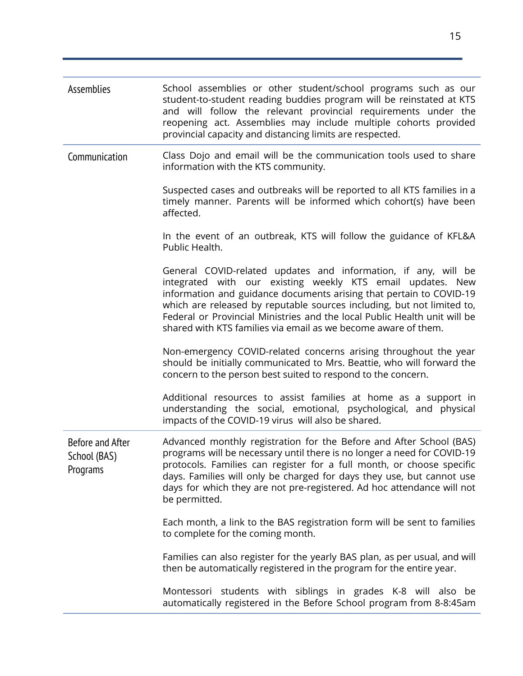<span id="page-15-2"></span><span id="page-15-1"></span><span id="page-15-0"></span>

| Assemblies                                   | School assemblies or other student/school programs such as our<br>student-to-student reading buddies program will be reinstated at KTS<br>and will follow the relevant provincial requirements under the<br>reopening act. Assemblies may include multiple cohorts provided<br>provincial capacity and distancing limits are respected.                                                                                      |
|----------------------------------------------|------------------------------------------------------------------------------------------------------------------------------------------------------------------------------------------------------------------------------------------------------------------------------------------------------------------------------------------------------------------------------------------------------------------------------|
| Communication                                | Class Dojo and email will be the communication tools used to share<br>information with the KTS community.                                                                                                                                                                                                                                                                                                                    |
|                                              | Suspected cases and outbreaks will be reported to all KTS families in a<br>timely manner. Parents will be informed which cohort(s) have been<br>affected.                                                                                                                                                                                                                                                                    |
|                                              | In the event of an outbreak, KTS will follow the guidance of KFL&A<br>Public Health.                                                                                                                                                                                                                                                                                                                                         |
|                                              | General COVID-related updates and information, if any, will be<br>integrated with our existing weekly KTS email updates. New<br>information and guidance documents arising that pertain to COVID-19<br>which are released by reputable sources including, but not limited to,<br>Federal or Provincial Ministries and the local Public Health unit will be<br>shared with KTS families via email as we become aware of them. |
|                                              | Non-emergency COVID-related concerns arising throughout the year<br>should be initially communicated to Mrs. Beattie, who will forward the<br>concern to the person best suited to respond to the concern.                                                                                                                                                                                                                   |
|                                              | Additional resources to assist families at home as a support in<br>understanding the social, emotional, psychological, and physical<br>impacts of the COVID-19 virus will also be shared.                                                                                                                                                                                                                                    |
| Before and After<br>School (BAS)<br>Programs | Advanced monthly registration for the Before and After School (BAS)<br>programs will be necessary until there is no longer a need for COVID-19<br>protocols. Families can register for a full month, or choose specific<br>days. Families will only be charged for days they use, but cannot use<br>days for which they are not pre-registered. Ad hoc attendance will not<br>be permitted.                                  |
|                                              | Each month, a link to the BAS registration form will be sent to families<br>to complete for the coming month.                                                                                                                                                                                                                                                                                                                |
|                                              | Families can also register for the yearly BAS plan, as per usual, and will<br>then be automatically registered in the program for the entire year.                                                                                                                                                                                                                                                                           |
|                                              | Montessori students with siblings in grades K-8 will also be<br>automatically registered in the Before School program from 8-8:45am                                                                                                                                                                                                                                                                                          |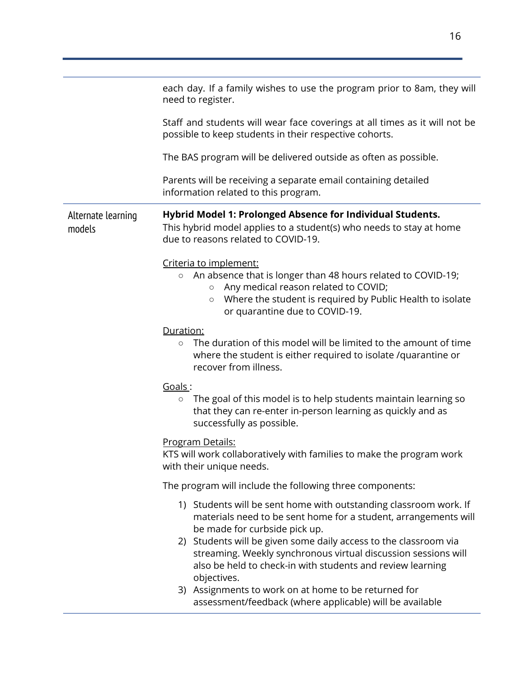<span id="page-16-0"></span>

|                              | each day. If a family wishes to use the program prior to 8am, they will<br>need to register.                                                                                                                                                                    |  |  |
|------------------------------|-----------------------------------------------------------------------------------------------------------------------------------------------------------------------------------------------------------------------------------------------------------------|--|--|
|                              | Staff and students will wear face coverings at all times as it will not be<br>possible to keep students in their respective cohorts.                                                                                                                            |  |  |
|                              | The BAS program will be delivered outside as often as possible.                                                                                                                                                                                                 |  |  |
|                              | Parents will be receiving a separate email containing detailed<br>information related to this program.                                                                                                                                                          |  |  |
| Alternate learning<br>models | Hybrid Model 1: Prolonged Absence for Individual Students.<br>This hybrid model applies to a student(s) who needs to stay at home<br>due to reasons related to COVID-19.                                                                                        |  |  |
|                              | Criteria to implement:<br>An absence that is longer than 48 hours related to COVID-19;<br>$\circ$<br>Any medical reason related to COVID;<br>$\circ$<br>Where the student is required by Public Health to isolate<br>$\circ$<br>or quarantine due to COVID-19.  |  |  |
|                              | Duration:<br>The duration of this model will be limited to the amount of time<br>$\circ$<br>where the student is either required to isolate /quarantine or<br>recover from illness.                                                                             |  |  |
|                              | Goals:<br>The goal of this model is to help students maintain learning so<br>$\circ$<br>that they can re-enter in-person learning as quickly and as<br>successfully as possible.                                                                                |  |  |
|                              | <u>Program Details:</u><br>KTS will work collaboratively with families to make the program work<br>with their unique needs.                                                                                                                                     |  |  |
|                              | The program will include the following three components:                                                                                                                                                                                                        |  |  |
|                              | 1) Students will be sent home with outstanding classroom work. If<br>materials need to be sent home for a student, arrangements will<br>be made for curbside pick up.<br>2) Students will be given some daily access to the classroom via                       |  |  |
|                              | streaming. Weekly synchronous virtual discussion sessions will<br>also be held to check-in with students and review learning<br>objectives.<br>3) Assignments to work on at home to be returned for<br>assessment/feedback (where applicable) will be available |  |  |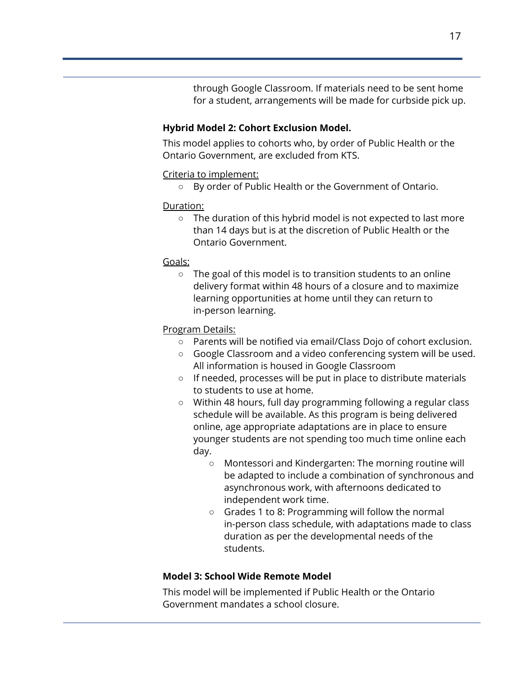through Google Classroom. If materials need to be sent home for a student, arrangements will be made for curbside pick up.

#### **Hybrid Model 2: Cohort Exclusion Model.**

This model applies to cohorts who, by order of Public Health or the Ontario Government, are excluded from KTS.

#### Criteria to implement:

○ By order of Public Health or the Government of Ontario.

#### Duration:

○ The duration of this hybrid model is not expected to last more than 14 days but is at the discretion of Public Health or the Ontario Government.

#### Goals:

○ The goal of this model is to transition students to an online delivery format within 48 hours of a closure and to maximize learning opportunities at home until they can return to in-person learning.

#### Program Details:

- Parents will be notified via email/Class Dojo of cohort exclusion.
- Google Classroom and a video conferencing system will be used. All information is housed in Google Classroom
- If needed, processes will be put in place to distribute materials to students to use at home.
- Within 48 hours, full day programming following a regular class schedule will be available. As this program is being delivered online, age appropriate adaptations are in place to ensure younger students are not spending too much time online each day.
	- Montessori and Kindergarten: The morning routine will be adapted to include a combination of synchronous and asynchronous work, with afternoons dedicated to independent work time.
	- Grades 1 to 8: Programming will follow the normal in-person class schedule, with adaptations made to class duration as per the developmental needs of the students.

#### **Model 3: School Wide Remote Model**

This model will be implemented if Public Health or the Ontario Government mandates a school closure.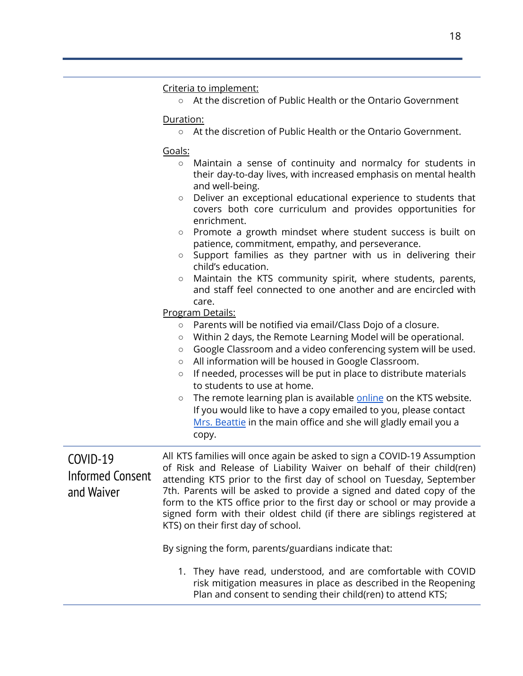#### Criteria to implement:

○ At the discretion of Public Health or the Ontario Government

Duration:

○ At the discretion of Public Health or the Ontario Government.

Goals:

| $\circ$ Maintain a sense of continuity and normalcy for students in |
|---------------------------------------------------------------------|
| their day-to-day lives, with increased emphasis on mental health    |
| and well-being.                                                     |

- Deliver an exceptional educational experience to students that covers both core curriculum and provides opportunities for enrichment.
- Promote a growth mindset where student success is built on patience, commitment, empathy, and perseverance.
- Support families as they partner with us in delivering their child's education.
- Maintain the KTS community spirit, where students, parents, and staff feel connected to one another and are encircled with care.

Program Details:

- Parents will be notified via email/Class Dojo of a closure.
- Within 2 days, the Remote Learning Model will be operational.
- Google Classroom and a video conferencing system will be used.
- All information will be housed in Google Classroom.
- If needed, processes will be put in place to distribute materials to students to use at home.
- The remote learning plan is available [online](https://4be251cf-e052-46ab-b0a2-b9dbc5417858.filesusr.com/ugd/33635d_d961a5f0fe404cf09661a875b6e2aae9.pdf) on the KTS website. If you would like to have a copy emailed to you, please contact Mrs. [Beattie](mailto:k.beattie@kingstownschool.ca) in the main office and she will gladly email you a copy.

<span id="page-18-0"></span>COVID-19 Informed Consent and Waiver

All KTS families will once again be asked to sign a COVID-19 Assumption of Risk and Release of Liability Waiver on behalf of their child(ren) attending KTS prior to the first day of school on Tuesday, September 7th. Parents will be asked to provide a signed and dated copy of the form to the KTS office prior to the first day or school or may provide a signed form with their oldest child (if there are siblings registered at KTS) on their first day of school.

By signing the form, parents/guardians indicate that:

1. They have read, understood, and are comfortable with COVID risk mitigation measures in place as described in the Reopening Plan and consent to sending their child(ren) to attend KTS;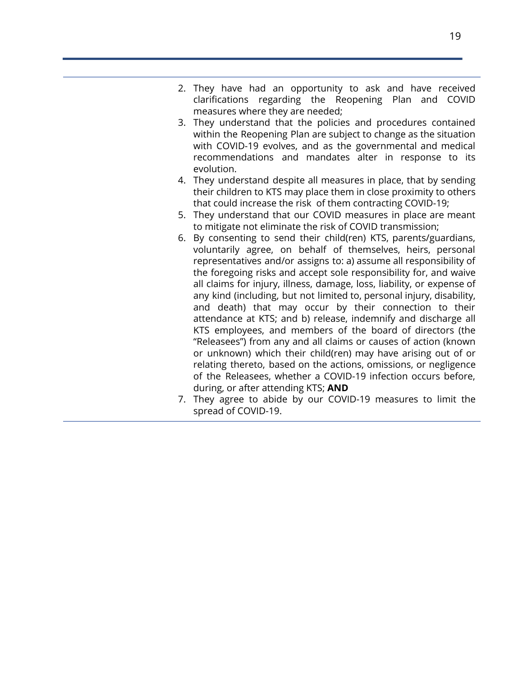- 2. They have had an opportunity to ask and have received clarifications regarding the Reopening Plan and COVID measures where they are needed;
- 3. They understand that the policies and procedures contained within the Reopening Plan are subject to change as the situation with COVID-19 evolves, and as the governmental and medical recommendations and mandates alter in response to its evolution.
- 4. They understand despite all measures in place, that by sending their children to KTS may place them in close proximity to others that could increase the risk of them contracting COVID-19;
- 5. They understand that our COVID measures in place are meant to mitigate not eliminate the risk of COVID transmission;
- 6. By consenting to send their child(ren) KTS, parents/guardians, voluntarily agree, on behalf of themselves, heirs, personal representatives and/or assigns to: a) assume all responsibility of the foregoing risks and accept sole responsibility for, and waive all claims for injury, illness, damage, loss, liability, or expense of any kind (including, but not limited to, personal injury, disability, and death) that may occur by their connection to their attendance at KTS; and b) release, indemnify and discharge all KTS employees, and members of the board of directors (the "Releasees") from any and all claims or causes of action (known or unknown) which their child(ren) may have arising out of or relating thereto, based on the actions, omissions, or negligence of the Releasees, whether a COVID-19 infection occurs before, during, or after attending KTS; **AND**
- 7. They agree to abide by our COVID-19 measures to limit the spread of COVID-19.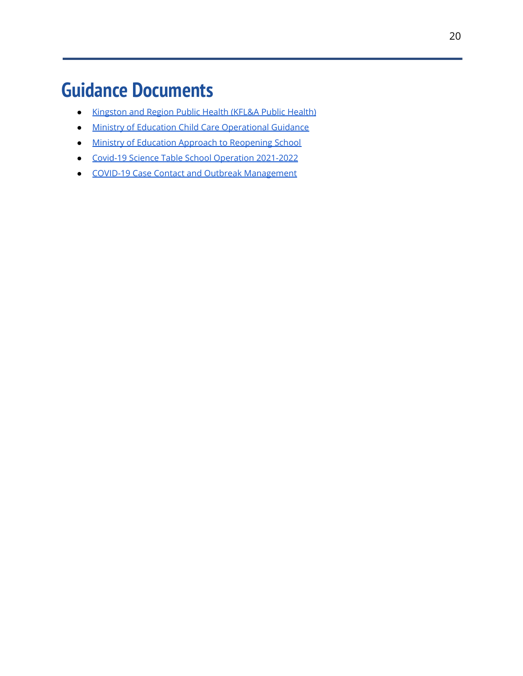### <span id="page-20-0"></span>**Guidance Documents**

- [Kingston](https://www.kflaph.ca/en/healthy-living/novel-coronavirus.aspx) and Region Public Health (KFL&A Public Health)
- Ministry of Education Child Care [Operational](https://www.ontario.ca/page/operational-guidance-during-covid-19-outbreak-child-care) Guidance
- Ministry of Education Approach to [Reopening](https://www.ontario.ca/document/covid-19-health-safety-and-operational-guidance-schools-2021-2022) School
- Covid-19 Science Table School Operation [2021-2022](https://covid19-sciencetable.ca/wp-content/uploads/2021/07/Science-Brief_School-Operation-for-the-2021-2022-Academic-Year-in-the-Context-of-the-COVID-19-Pandemic_20210719_published-2.pdf)
- COVID-19 Case Contact and Outbreak [Management](https://s3.documentcloud.org/documents/21040125/ontario-releases-new-guidance-on-covid-19-cases-contacts-and-outbreaks-including-in-schools.pdf)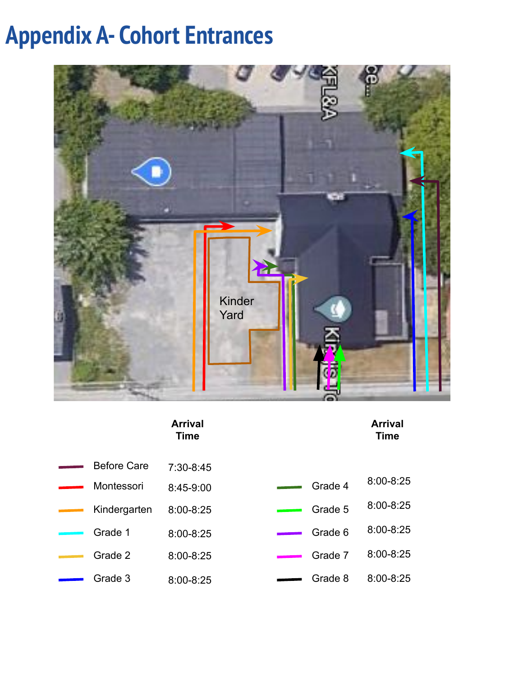## **Appendix A- Cohort Entrances**



#### **Arrival Time**

| Before Care  | 7:30-8:45 |
|--------------|-----------|
|              |           |
| Montessori   | 8:45-9:00 |
| Kindergarten | 8:00-8:25 |
| Grade 1      | 8:00-8:25 |
| Grade 2      | 8:00-8:25 |
| Grade 3      | 8:00-8:25 |

| Arrival |
|---------|
| Time    |

- Grade 4 Grade 5 8:00-8:25 8:00-8:25
	- Grade 6 8:00-8:25
	-
	- Grade 7 8:00-8:25
	- Grade 8 8:00-8:25